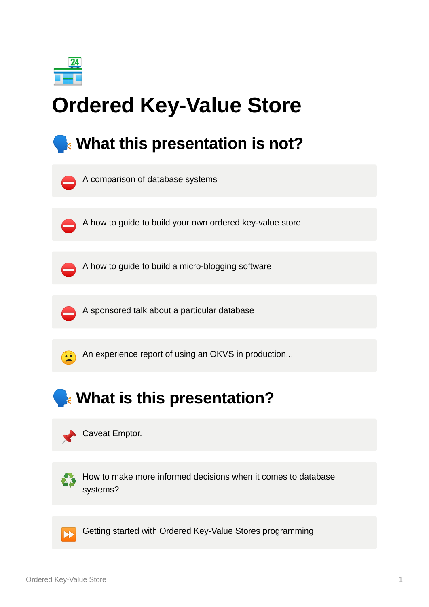

# **Ordered Key-Value Store**

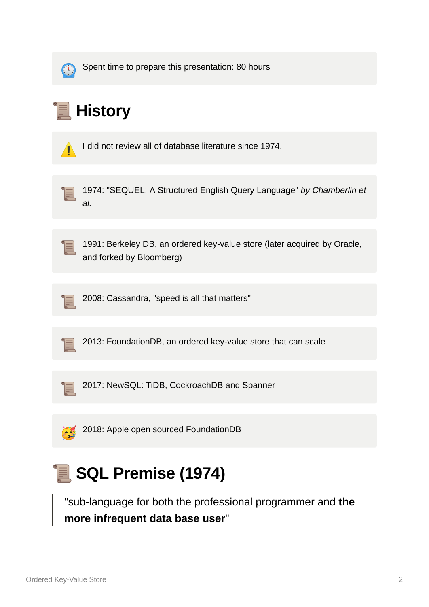

Spent time to prepare this presentation: 80 hours

## **History**

⚠ I did not review all of database literature since 1974.



 [1974: "SEQUEL: A Structured English Query Language"](https://en.wikipedia.org/wiki/SQL#cite_note-chamberlin-boyce-sequel-18) *by Chamberlin et al.*



 1991: Berkeley DB, an ordered key-value store (later acquired by Oracle, and forked by Bloomberg)



2008: Cassandra, "speed is all that matters"



2013: FoundationDB, an ordered key-value store that can scale



2017: NewSQL: TiDB, CockroachDB and Spanner



## **SQL Premise (1974)**

"sub-language for both the professional programmer and **the more infrequent data base user**"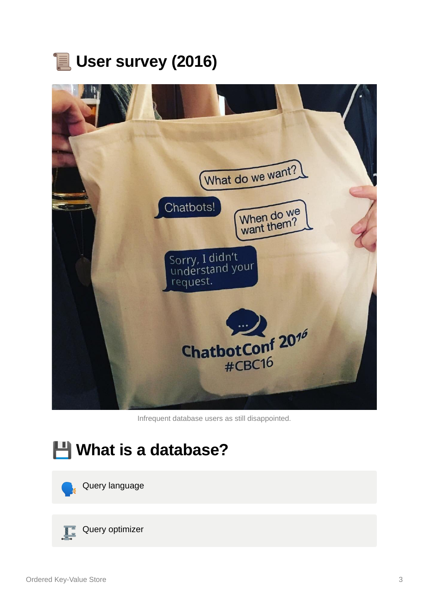### **User survey (2016)**



Infrequent database users as still disappointed.





 $\sqrt{\frac{1}{2}}$  Query optimizer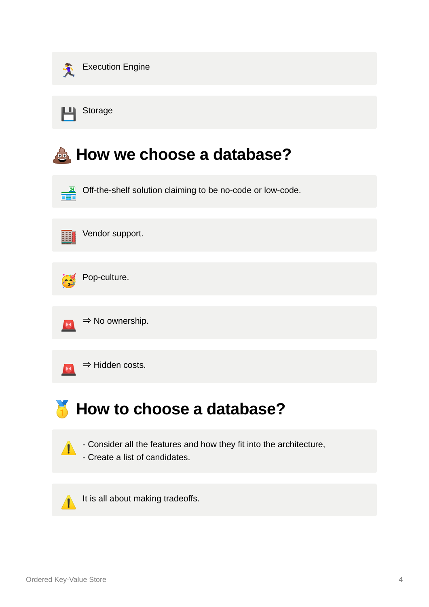

**H** Storage

#### **How we choose a database?**





Pop-culture.



 $\rightarrow$  Hidden costs.

#### **How to choose a database?**

 $\sqrt{\phantom{a}}$  - Consider all the features and how they fit into the architecture,

- Create a list of candidates.

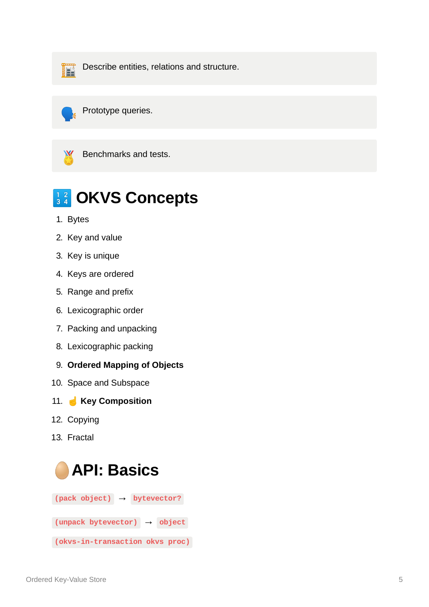

**Describe entities, relations and structure.** 





Benchmarks and tests.

#### **B**<sup>12</sup> OKVS Concepts

- 1. Bytes
- 2. Key and value
- 3. Key is unique
- 4. Keys are ordered
- 5. Range and prefix
- 6. Lexicographic order
- 7. Packing and unpacking
- 8. Lexicographic packing
- 9. **Ordered Mapping of Objects**
- 10. Space and Subspace
- 11. ☝ **Key Composition**
- 12. Copying
- 13. Fractal

#### **API: Basics**

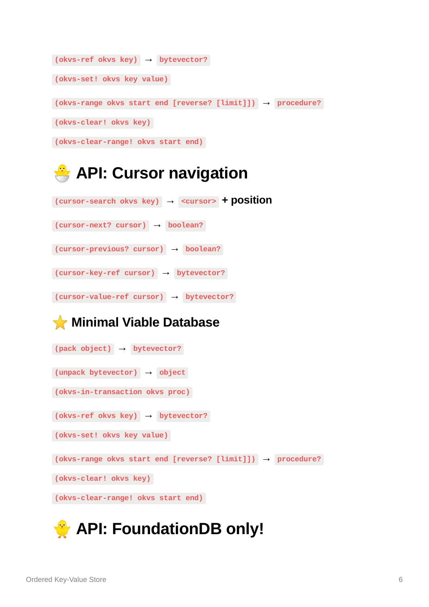```
(okvs-ref okvs key) → bytevector?
(okvs-set! okvs key value)
(okvs-range okvs start end [reverse? [limit]]) → procedure?
(okvs-clear! okvs key)
(okvs-clear-range! okvs start end)
```
#### **API: Cursor navigation**

**(cursor-search okvs key) → <cursor> + position (cursor-next? cursor) → boolean? (cursor-previous? cursor) → boolean? (cursor-key-ref cursor) → bytevector?**

**(cursor-value-ref cursor) → bytevector?**

⭐ **Minimal Viable Database**

```
(pack object) → bytevector?
(unpack bytevector) → object
(okvs-in-transaction okvs proc)
(okvs-ref okvs key) → bytevector?
(okvs-set! okvs key value)
(okvs-range okvs start end [reverse? [limit]]) → procedure?
(okvs-clear! okvs key)
(okvs-clear-range! okvs start end)
```
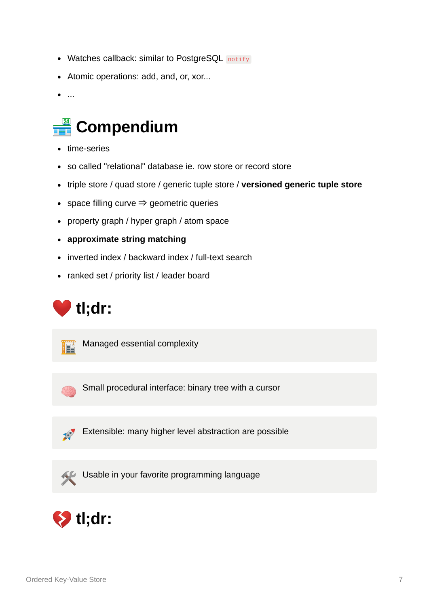- Watches callback: similar to PostgreSQL notify
- Atomic operations: add, and, or, xor...
- $\bullet$ ...

### **Compendium**

- time-series
- so called "relational" database ie. row store or record store
- triple store / quad store / generic tuple store / **versioned generic tuple store**
- space filling curve  $\Rightarrow$  geometric queries
- property graph / hyper graph / atom space
- **approximate string matching**
- inverted index / backward index / full-text search
- ranked set / priority list / leader board





Managed essential complexity

Small procedural interface: binary tree with a cursor



Extensible: many higher level abstraction are possible

Usable in your favorite programming language